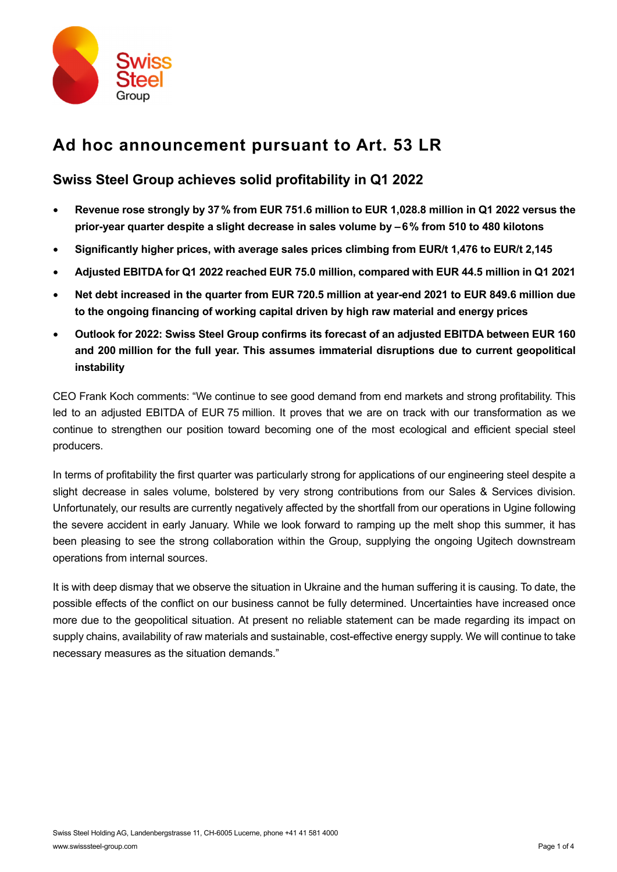

# **Ad hoc announcement pursuant to Art. 53 LR**

# **Swiss Steel Group achieves solid profitability in Q1 2022**

- **Revenue rose strongly by 37% from EUR 751.6 million to EUR 1,028.8 million in Q1 2022 versus the prior-year quarter despite a slight decrease in sales volume by –6% from 510 to 480 kilotons**
- **Significantly higher prices, with average sales prices climbing from EUR/t 1,476 to EUR/t 2,145**
- **Adjusted EBITDA for Q1 2022 reached EUR 75.0 million, compared with EUR 44.5 million in Q1 2021**
- **Net debt increased in the quarter from EUR 720.5 million at year-end 2021 to EUR 849.6 million due to the ongoing financing of working capital driven by high raw material and energy prices**
- **Outlook for 2022: Swiss Steel Group confirms its forecast of an adjusted EBITDA between EUR 160 and 200 million for the full year. This assumes immaterial disruptions due to current geopolitical instability**

CEO Frank Koch comments: "We continue to see good demand from end markets and strong profitability. This led to an adjusted EBITDA of EUR 75 million. It proves that we are on track with our transformation as we continue to strengthen our position toward becoming one of the most ecological and efficient special steel producers.

In terms of profitability the first quarter was particularly strong for applications of our engineering steel despite a slight decrease in sales volume, bolstered by very strong contributions from our Sales & Services division. Unfortunately, our results are currently negatively affected by the shortfall from our operations in Ugine following the severe accident in early January. While we look forward to ramping up the melt shop this summer, it has been pleasing to see the strong collaboration within the Group, supplying the ongoing Ugitech downstream operations from internal sources.

It is with deep dismay that we observe the situation in Ukraine and the human suffering it is causing. To date, the possible effects of the conflict on our business cannot be fully determined. Uncertainties have increased once more due to the geopolitical situation. At present no reliable statement can be made regarding its impact on supply chains, availability of raw materials and sustainable, cost-effective energy supply. We will continue to take necessary measures as the situation demands."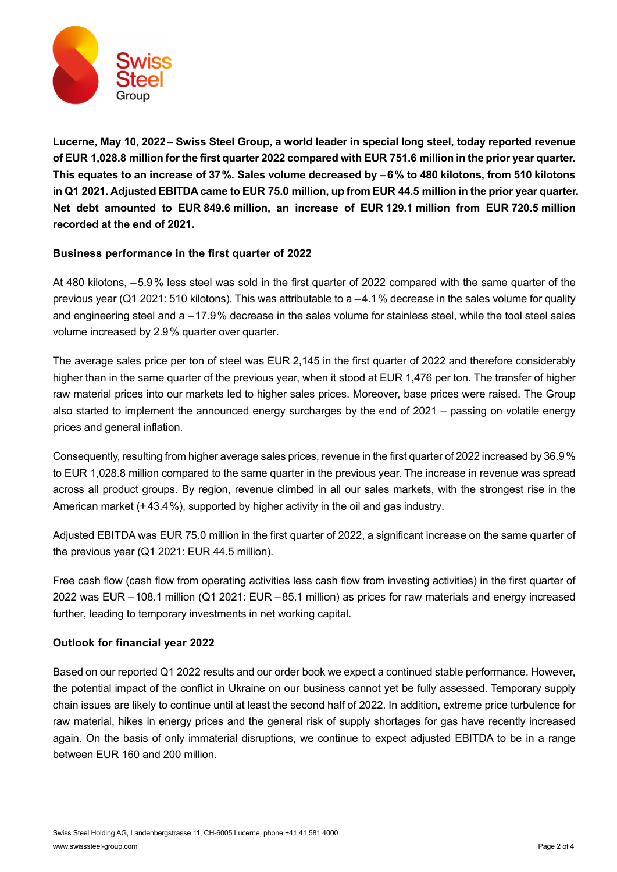

**Lucerne, May 10, 2022– Swiss Steel Group, a world leader in special long steel, today reported revenue of EUR 1,028.8 million for the first quarter 2022 compared with EUR 751.6 million in the prior year quarter. This equates to an increase of 37%. Sales volume decreased by –6% to 480 kilotons, from 510 kilotons in Q1 2021. Adjusted EBITDA came to EUR 75.0 million, up from EUR 44.5 million in the prior year quarter. Net debt amounted to EUR 849.6 million, an increase of EUR 129.1 million from EUR 720.5 million recorded at the end of 2021.** 

## **Business performance in the first quarter of 2022**

At 480 kilotons, –5.9% less steel was sold in the first quarter of 2022 compared with the same quarter of the previous year (Q1 2021: 510 kilotons). This was attributable to a –4.1% decrease in the sales volume for quality and engineering steel and a –17.9% decrease in the sales volume for stainless steel, while the tool steel sales volume increased by 2.9% quarter over quarter.

The average sales price per ton of steel was EUR 2,145 in the first quarter of 2022 and therefore considerably higher than in the same quarter of the previous year, when it stood at EUR 1,476 per ton. The transfer of higher raw material prices into our markets led to higher sales prices. Moreover, base prices were raised. The Group also started to implement the announced energy surcharges by the end of 2021 – passing on volatile energy prices and general inflation.

Consequently, resulting from higher average sales prices, revenue in the first quarter of 2022 increased by 36.9% to EUR 1,028.8 million compared to the same quarter in the previous year. The increase in revenue was spread across all product groups. By region, revenue climbed in all our sales markets, with the strongest rise in the American market (+43.4%), supported by higher activity in the oil and gas industry.

Adjusted EBITDA was EUR 75.0 million in the first quarter of 2022, a significant increase on the same quarter of the previous year (Q1 2021: EUR 44.5 million).

Free cash flow (cash flow from operating activities less cash flow from investing activities) in the first quarter of 2022 was EUR –108.1 million (Q1 2021: EUR –85.1 million) as prices for raw materials and energy increased further, leading to temporary investments in net working capital.

## **Outlook for financial year 2022**

Based on our reported Q1 2022 results and our order book we expect a continued stable performance. However, the potential impact of the conflict in Ukraine on our business cannot yet be fully assessed. Temporary supply chain issues are likely to continue until at least the second half of 2022. In addition, extreme price turbulence for raw material, hikes in energy prices and the general risk of supply shortages for gas have recently increased again. On the basis of only immaterial disruptions, we continue to expect adjusted EBITDA to be in a range between EUR 160 and 200 million.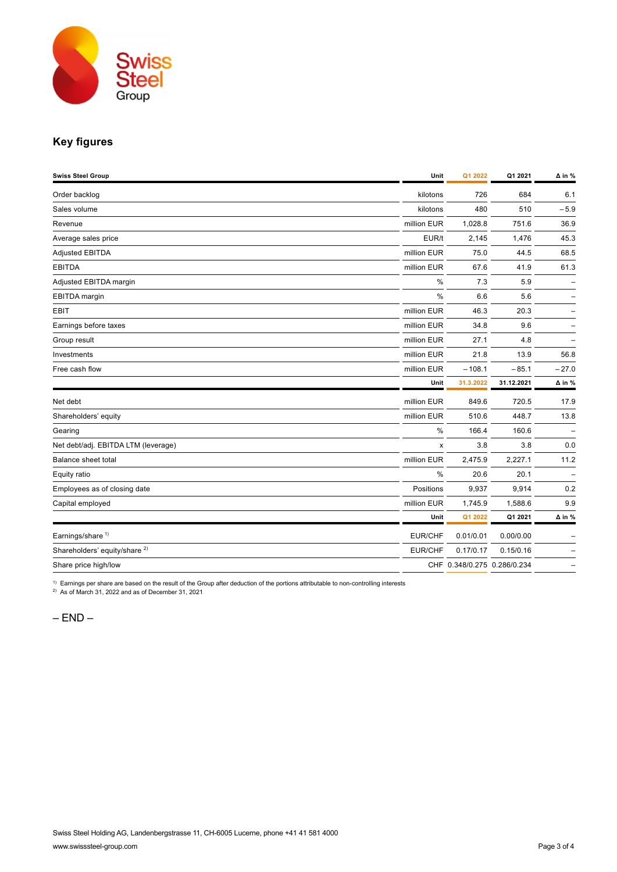

## **Key figures**

| <b>Swiss Steel Group</b>                 | Unit        | Q1 2022                     | Q1 2021    | $\Delta$ in % |
|------------------------------------------|-------------|-----------------------------|------------|---------------|
| Order backlog                            | kilotons    | 726                         | 684        | 6.1           |
| Sales volume                             | kilotons    | 480                         | 510        | $-5.9$        |
| Revenue                                  | million EUR | 1,028.8                     | 751.6      | 36.9          |
| Average sales price                      | EUR/t       | 2,145                       | 1,476      | 45.3          |
| <b>Adjusted EBITDA</b>                   | million EUR | 75.0                        | 44.5       | 68.5          |
| <b>EBITDA</b>                            | million EUR | 67.6                        | 41.9       | 61.3          |
| Adjusted EBITDA margin                   | %           | 7.3                         | 5.9        |               |
| EBITDA margin                            | %           | 6.6                         | 5.6        |               |
| EBIT                                     | million EUR | 46.3                        | 20.3       |               |
| Earnings before taxes                    | million EUR | 34.8                        | 9.6        |               |
| Group result                             | million EUR | 27.1                        | 4.8        |               |
| Investments                              | million EUR | 21.8                        | 13.9       | 56.8          |
| Free cash flow                           | million EUR | $-108.1$                    | $-85.1$    | $-27.0$       |
|                                          | Unit        | 31.3.2022                   | 31.12.2021 | $\Delta$ in % |
| Net debt                                 | million EUR | 849.6                       | 720.5      | 17.9          |
| Shareholders' equity                     | million EUR | 510.6                       | 448.7      | 13.8          |
| Gearing                                  | $\%$        | 166.4                       | 160.6      |               |
| Net debt/adj. EBITDA LTM (leverage)      | X           | 3.8                         | 3.8        | 0.0           |
| Balance sheet total                      | million EUR | 2,475.9                     | 2,227.1    | 11.2          |
| Equity ratio                             | %           | 20.6                        | 20.1       | ۰             |
| Employees as of closing date             | Positions   | 9,937                       | 9,914      | 0.2           |
| Capital employed                         | million EUR | 1,745.9                     | 1,588.6    | 9.9           |
|                                          | Unit        | Q1 2022                     | Q1 2021    | $\Delta$ in % |
| Earnings/share <sup>1)</sup>             | EUR/CHF     | 0.01/0.01                   | 0.00/0.00  |               |
| Shareholders' equity/share <sup>2)</sup> | EUR/CHF     | 0.17/0.17                   | 0.15/0.16  |               |
| Share price high/low                     |             | CHF 0.348/0.275 0.286/0.234 |            |               |

 $1)$  Earnings per share are based on the result of the Group after deduction of the portions attributable to non-controlling interests

 $^{2)}$  As of March 31, 2022 and as of December 31, 2021

 $-$  END  $-$